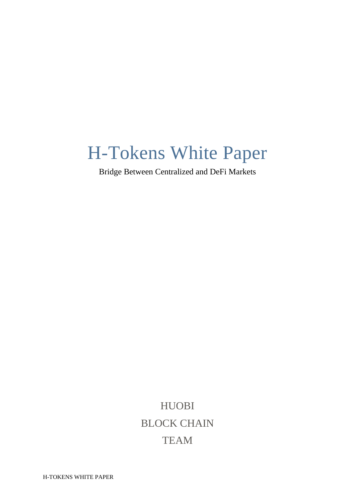# H-Tokens White Paper

Bridge Between Centralized and DeFi Markets

HUOBI BLOCK CHAIN TEAM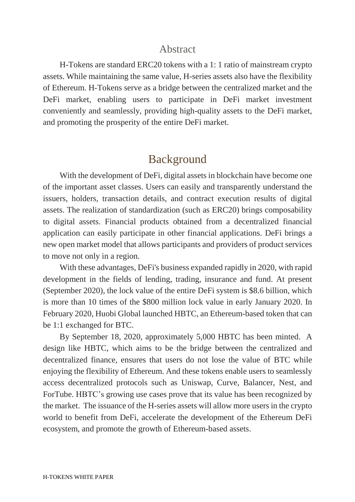#### Abstract

 H-Tokens are standard ERC20 tokens with a 1: 1 ratio of mainstream crypto assets. While maintaining the same value, H-series assets also have the flexibility of Ethereum. H-Tokens serve as a bridge between the centralized market and the DeFi market, enabling users to participate in DeFi market investment conveniently and seamlessly, providing high-quality assets to the DeFi market, and promoting the prosperity of the entire DeFi market.

### Background

 With the development of DeFi, digital assets in blockchain have become one of the important asset classes. Users can easily and transparently understand the issuers, holders, transaction details, and contract execution results of digital assets. The realization of standardization (such as ERC20) brings composability to digital assets. Financial products obtained from a decentralized financial application can easily participate in other financial applications. DeFi brings a new open market model that allows participants and providers of product services to move not only in a region.

 With these advantages, DeFi's business expanded rapidly in 2020, with rapid development in the fields of lending, trading, insurance and fund. At present (September 2020), the lock value of the entire DeFi system is \$8.6 billion, which is more than 10 times of the \$800 million lock value in early January 2020. In February 2020, Huobi Global launched HBTC, an Ethereum-based token that can be 1:1 exchanged for BTC.

 By September 18, 2020, approximately 5,000 HBTC has been minted. A design like HBTC, which aims to be the bridge between the centralized and decentralized finance, ensures that users do not lose the value of BTC while enjoying the flexibility of Ethereum. And these tokens enable users to seamlessly access decentralized protocols such as Uniswap, Curve, Balancer, Nest, and ForTube. HBTC's growing use cases prove that its value has been recognized by the market. The issuance of the H-series assets will allow more users in the crypto world to benefit from DeFi, accelerate the development of the Ethereum DeFi ecosystem, and promote the growth of Ethereum-based assets.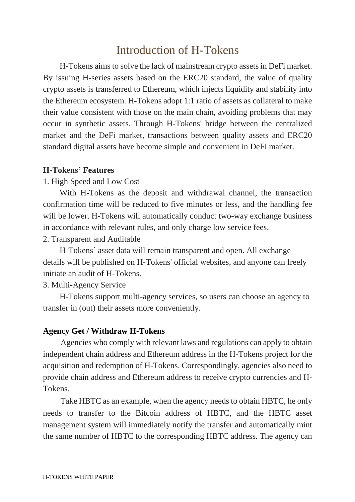## Introduction of H-Tokens

 H-Tokens aims to solve the lack of mainstream crypto assetsin DeFi market. By issuing H-series assets based on the ERC20 standard, the value of quality crypto assets is transferred to Ethereum, which injects liquidity and stability into the Ethereum ecosystem. H-Tokens adopt 1:1 ratio of assets as collateral to make their value consistent with those on the main chain, avoiding problems that may occur in synthetic assets. Through H-Tokens' bridge between the centralized market and the DeFi market, transactions between quality assets and ERC20 standard digital assets have become simple and convenient in DeFi market.

#### **H-Tokens' Features**

#### 1. High Speed and Low Cost

 With H-Tokens as the deposit and withdrawal channel, the transaction confirmation time will be reduced to five minutes or less, and the handling fee will be lower. H-Tokens will automatically conduct two-way exchange business in accordance with relevant rules, and only charge low service fees.

2. Transparent and Auditable

 H-Tokens' asset data will remain transparent and open. All exchange details will be published on H-Tokens' official websites, and anyone can freely initiate an audit of H-Tokens.

#### 3. Multi-Agency Service

 H-Tokens support multi-agency services, so users can choose an agency to transfer in (out) their assets more conveniently.

#### **Agency Get / Withdraw H-Tokens**

Agencies who comply with relevant laws and regulations can apply to obtain independent chain address and Ethereum address in the H-Tokens project for the acquisition and redemption of H-Tokens. Correspondingly, agencies also need to provide chain address and Ethereum address to receive crypto currencies and H-Tokens.

Take HBTC as an example, when the agency needs to obtain HBTC, he only needs to transfer to the Bitcoin address of HBTC, and the HBTC asset management system will immediately notify the transfer and automatically mint the same number of HBTC to the corresponding HBTC address. The agency can